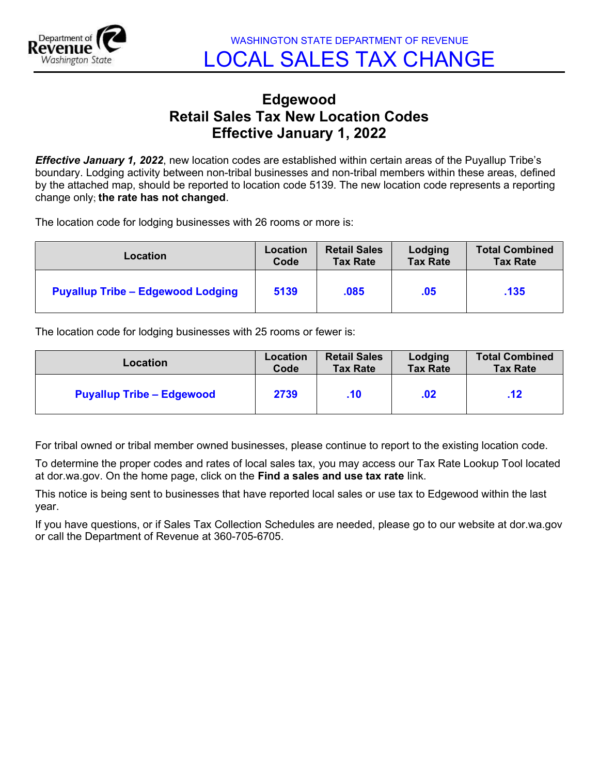

## Edgewood Retail Sales Tax New Location Codes Effective January 1, 2022

**Effective January 1, 2022**, new location codes are established within certain areas of the Puyallup Tribe's boundary. Lodging activity between non-tribal businesses and non-tribal members within these areas, defined by the attached map, should be reported to location code 5139. The new location code represents a reporting change only; the rate has not changed.

The location code for lodging businesses with 26 rooms or more is:

| Location                                 | Location | <b>Retail Sales</b> | Lodging         | <b>Total Combined</b> |
|------------------------------------------|----------|---------------------|-----------------|-----------------------|
|                                          | Code     | <b>Tax Rate</b>     | <b>Tax Rate</b> | <b>Tax Rate</b>       |
| <b>Puyallup Tribe - Edgewood Lodging</b> | 5139     | .085                | .05             | .135                  |

The location code for lodging businesses with 25 rooms or fewer is:

| Location                         | Location | <b>Retail Sales</b> | Lodging         | <b>Total Combined</b> |
|----------------------------------|----------|---------------------|-----------------|-----------------------|
|                                  | Code     | <b>Tax Rate</b>     | <b>Tax Rate</b> | <b>Tax Rate</b>       |
| <b>Puyallup Tribe - Edgewood</b> | 2739     | $.10 \,$            | .02             | .12                   |

For tribal owned or tribal member owned businesses, please continue to report to the existing location code.

To determine the proper codes and rates of local sales tax, you may access our Tax Rate Lookup Tool located at dor.wa.gov. On the home page, click on the Find a sales and use tax rate link.

This notice is being sent to businesses that have reported local sales or use tax to Edgewood within the last year.

If you have questions, or if Sales Tax Collection Schedules are needed, please go to our website at dor.wa.gov or call the Department of Revenue at 360-705-6705.